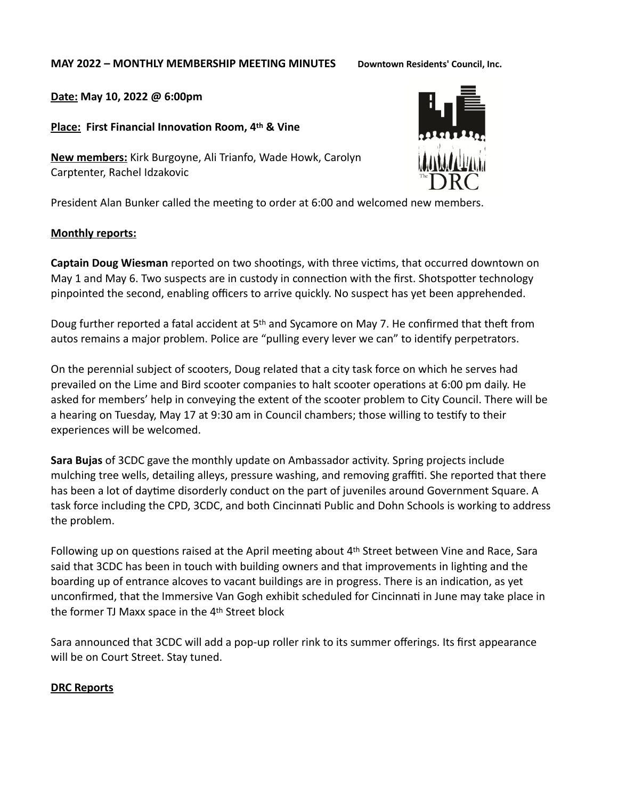#### **MAY 2022 – MONTHLY MEMBERSHIP MEETING MINUTES Downtown Residents' Council, Inc.**

**Date: May 10, 2022 @ 6:00pm** 

**Place: First Financial Innovation Room, 4th & Vine**

**New members:** Kirk Burgoyne, Ali Trianfo, Wade Howk, Carolyn Carptenter, Rachel Idzakovic

President Alan Bunker called the meeting to order at 6:00 and welcomed new members.

#### **Monthly reports:**

**Captain Doug Wiesman** reported on two shootings, with three victims, that occurred downtown on May 1 and May 6. Two suspects are in custody in connection with the first. Shotspotter technology pinpointed the second, enabling officers to arrive quickly. No suspect has yet been apprehended.

Doug further reported a fatal accident at 5th and Sycamore on May 7. He confirmed that theft from autos remains a major problem. Police are "pulling every lever we can" to identify perpetrators.

On the perennial subject of scooters, Doug related that a city task force on which he serves had prevailed on the Lime and Bird scooter companies to halt scooter operations at 6:00 pm daily. He asked for members' help in conveying the extent of the scooter problem to City Council. There will be a hearing on Tuesday, May 17 at 9:30 am in Council chambers; those willing to testify to their experiences will be welcomed.

**Sara Bujas** of 3CDC gave the monthly update on Ambassador activity. Spring projects include mulching tree wells, detailing alleys, pressure washing, and removing graffiti. She reported that there has been a lot of daytime disorderly conduct on the part of juveniles around Government Square. A task force including the CPD, 3CDC, and both Cincinnati Public and Dohn Schools is working to address the problem.

Following up on questions raised at the April meeting about 4th Street between Vine and Race, Sara said that 3CDC has been in touch with building owners and that improvements in lighting and the boarding up of entrance alcoves to vacant buildings are in progress. There is an indication, as yet unconfirmed, that the Immersive Van Gogh exhibit scheduled for Cincinnati in June may take place in the former TJ Maxx space in the 4th Street block

Sara announced that 3CDC will add a pop-up roller rink to its summer offerings. Its first appearance will be on Court Street. Stay tuned.

# **DRC Reports**